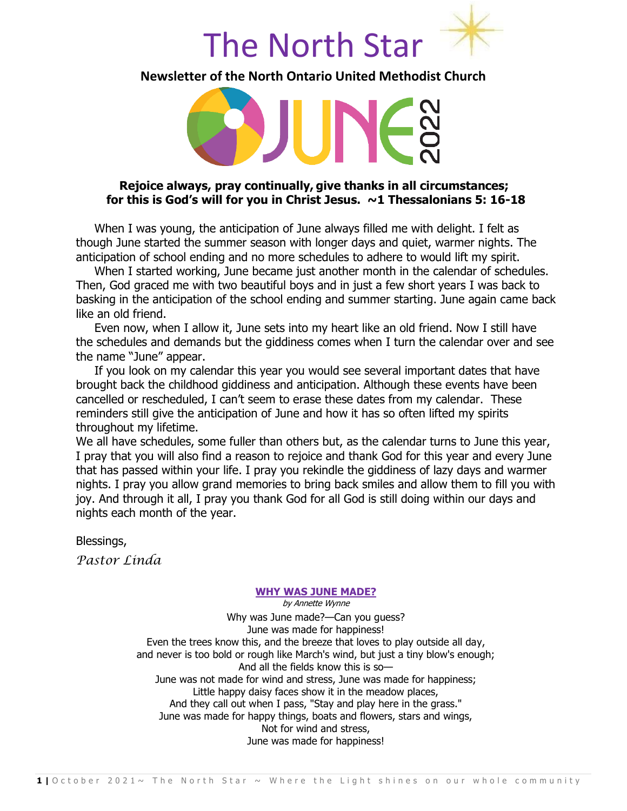

**Newsletter of the North Ontario United Methodist Church**

#### **Rejoice always, pray continually, give thanks in all circumstances; for this is God's will for you in Christ Jesus. ~1 Thessalonians 5: 16-18**

When I was young, the anticipation of June always filled me with delight. I felt as though June started the summer season with longer days and quiet, warmer nights. The anticipation of school ending and no more schedules to adhere to would lift my spirit.

When I started working, June became just another month in the calendar of schedules. Then, God graced me with two beautiful boys and in just a few short years I was back to basking in the anticipation of the school ending and summer starting. June again came back like an old friend.

Even now, when I allow it, June sets into my heart like an old friend. Now I still have the schedules and demands but the giddiness comes when I turn the calendar over and see the name "June" appear.

If you look on my calendar this year you would see several important dates that have brought back the childhood giddiness and anticipation. Although these events have been cancelled or rescheduled, I can't seem to erase these dates from my calendar. These reminders still give the anticipation of June and how it has so often lifted my spirits throughout my lifetime.

We all have schedules, some fuller than others but, as the calendar turns to June this year, I pray that you will also find a reason to rejoice and thank God for this year and every June that has passed within your life. I pray you rekindle the giddiness of lazy days and warmer nights. I pray you allow grand memories to bring back smiles and allow them to fill you with joy. And through it all, I pray you thank God for all God is still doing within our days and nights each month of the year.

Blessings,

*Pastor Linda*

#### **[WHY WAS JUNE MADE?](https://discoverpoetry.com/poems/annette-wynne/why-was-june-made/)**

by Annette Wynne

Why was June made?—Can you guess? June was made for happiness! Even the trees know this, and the breeze that loves to play outside all day, and never is too bold or rough like March's wind, but just a tiny blow's enough; And all the fields know this is so— June was not made for wind and stress, June was made for happiness; Little happy daisy faces show it in the meadow places, And they call out when I pass, "Stay and play here in the grass." June was made for happy things, boats and flowers, stars and wings, Not for wind and stress, June was made for happiness!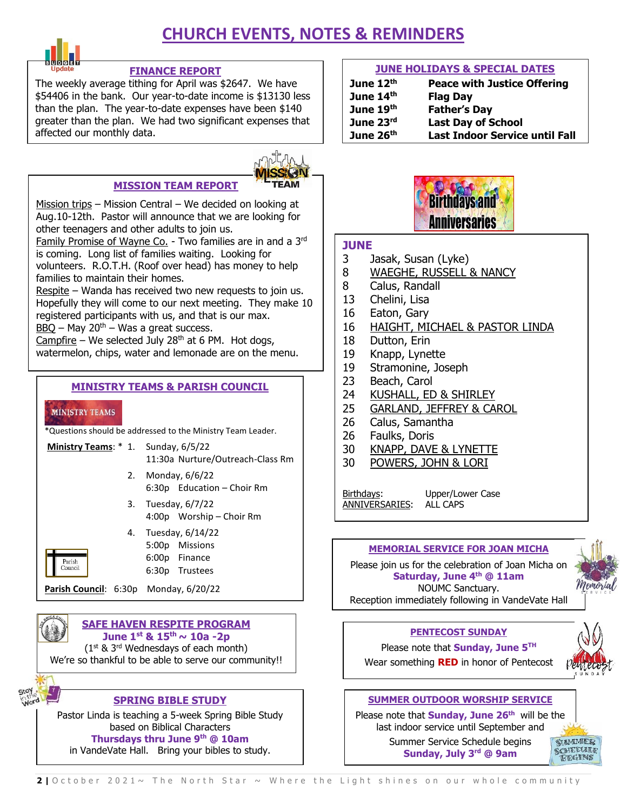## **CHURCH EVENTS, NOTES & REMINDERS**



#### **FINANCE REPORT**

The weekly average tithing for April was \$2647. We have \$54406 in the bank. Our year-to-date income is \$13130 less than the plan. The year-to-date expenses have been \$140 greater than the plan. We had two significant expenses that affected our monthly data.

#### **MISSION TEAM REPORT**



Mission trips – Mission Central – We decided on looking at Aug.10-12th. Pastor will announce that we are looking for other teenagers and other adults to join us.

**Family Promise of Wayne Co.** - Two families are in and a 3<sup>14</sup> **JUNE**<br>is coming. Long list of families waiting. Looking for Family Promise of Wayne Co. - Two families are in and a 3rd volunteers. R.O.T.H. (Roof over head) has money to help families to maintain their homes.

Respite – Wanda has received two new requests to join us. Hopefully they will come to our next meeting. They make 10 registered participants with us, and that is our max.  $BBQ - May 20<sup>th</sup> - Was a great success.$ 

Campfire – We selected July 28<sup>th</sup> at 6 PM. Hot dogs, watermelon, chips, water and lemonade are on the menu.

#### **MINISTRY TEAMS & PARISH COUNCIL**

#### **MINISTRY TEAMS**

Parish<br>Council

\*Questions should be addressed to the Ministry Team Leader.

- **Ministry Teams**: \* 1. Sunday, 6/5/22 11:30a Nurture/Outreach-Class Rm
	- 2. Monday, 6/6/22 6:30p Education – Choir Rm
	- 3. Tuesday, 6/7/22 4:00p Worship – Choir Rm



6:30p Trustees

**Parish Council**: 6:30p Monday, 6/20/22



**June 1st & 15th ~ 10a -2p**

 $(1^{st}$  & 3<sup>rd</sup> Wednesdays of each month)

We're so thankful to be able to serve our community!!



#### **SPRING BIBLE STUDY**

Pastor Linda is teaching a 5-week Spring Bible Study based on Biblical Characters

**Thursdays thru June 9 th @ 10am**

in VandeVate Hall. Bring your bibles to study.

#### **JUNE HOLIDAYS & SPECIAL DATES**

| June $12th$ | <b>Peace with Justice Offering</b>    |
|-------------|---------------------------------------|
| June 14th   | <b>Flag Day</b>                       |
| June 19th   | <b>Father's Day</b>                   |
| June 23rd   | <b>Last Day of School</b>             |
| June 26th   | <b>Last Indoor Service until Fall</b> |



- 3 Jasak, Susan (Lyke)
- 8 WAEGHE, RUSSELL & NANCY
- 8 Calus, Randall
- 13 Chelini, Lisa
- 16 Eaton, Gary
- 16 HAIGHT, MICHAEL & PASTOR LINDA
- 18 Dutton, Erin
- 19 Knapp, Lynette
- 19 Stramonine, Joseph
- 23 Beach, Carol
- 24 KUSHALL, ED & SHIRLEY
- 25 GARLAND, JEFFREY & CAROL
- 26 Calus, Samantha
- 26 Faulks, Doris
- 30 KNAPP, DAVE & LYNETTE
- 30 POWERS, JOHN & LORI

Birthdays: Upper/Lower Case ANNIVERSARIES: ALL CAPS

**MEMORIAL SERVICE FOR JOAN MICHA**

Please join us for the celebration of Joan Micha on **Saturday, June 4 th @ 11am** NOUMC Sanctuary.



Reception immediately following in VandeVate Hall

#### **PENTECOST SUNDAY**

Please note that **Sunday, June 5 TH** Wear something **RED** in honor of Pentecost



#### **SUMMER OUTDOOR WORSHIP SERVICE**

Please note that **Sunday, June 26th** will be the last indoor service until September and

> Summer Service Schedule begins **Sunday, July 3 rd @ 9am**

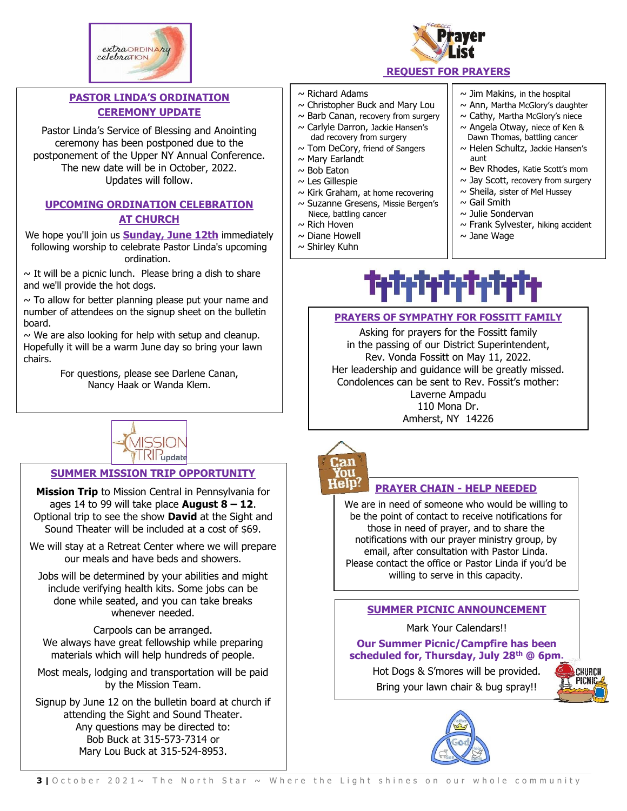



## **PASTOR LINDA'S ORDINATION CEREMONY UPDATE**

Pastor Linda's Service of Blessing and Anointing ceremony has been postponed due to the postponement of the Upper NY Annual Conference. The new date will be in October, 2022. Updates will follow.

#### **UPCOMING ORDINATION CELEBRATION AT CHURCH**

We hope you'll join us **Sunday, June 12th** immediately following worship to celebrate Pastor Linda's upcoming ordination.

 $\sim$  It will be a picnic lunch. Please bring a dish to share and we'll provide the hot dogs.

 $\sim$  To allow for better planning please put your name and number of attendees on the signup sheet on the bulletin board.

 $\sim$  We are also looking for help with setup and cleanup. Hopefully it will be a warm June day so bring your lawn chairs.

> For questions, please see Darlene Canan, Nancy Haak or Wanda Klem.



## **SUMMER MISSION TRIP OPPORTUNITY**

**Mission Trip** to Mission Central in Pennsylvania for ages 14 to 99 will take place **August 8 – 12**. Optional trip to see the show **David** at the Sight and Sound Theater will be included at a cost of \$69.

We will stay at a Retreat Center where we will prepare our meals and have beds and showers.

Jobs will be determined by your abilities and might include verifying health kits. Some jobs can be done while seated, and you can take breaks whenever needed.

Carpools can be arranged. We always have great fellowship while preparing materials which will help hundreds of people.

Most meals, lodging and transportation will be paid by the Mission Team.

Signup by June 12 on the bulletin board at church if attending the Sight and Sound Theater. Any questions may be directed to: Bob Buck at 315-573-7314 or Mary Lou Buck at 315-524-8953.

#### $\sim$  Richard Adams

- $\sim$  Christopher Buck and Mary Lou
- $\sim$  Barb Canan, recovery from surgery
- $\sim$  Carlyle Darron, Jackie Hansen's
- dad recovery from surgery
- $\sim$  Tom DeCory, friend of Sangers
- $\sim$  Mary Earlandt
- $\sim$  Bob Eaton
- $\sim$  Les Gillespie
- $\sim$  Kirk Graham, at home recovering
- ~ Suzanne Gresens, Missie Bergen's Niece, battling cancer
- $\sim$  Rich Hoven
- $\sim$  Diane Howell
- $\sim$  Shirley Kuhn

 $\sim$  Jim Makins, in the hospital

- $\sim$  Ann, Martha McGlory's daughter
- $\sim$  Cathy, Martha McGlory's niece
- $\sim$  Angela Otway, niece of Ken & Dawn Thomas, battling cancer
- $\sim$  Helen Schultz, Jackie Hansen's aunt
- $\sim$  Bev Rhodes, Katie Scott's mom
- $\sim$  Jay Scott, recovery from surgery
- $\sim$  Sheila, sister of Mel Hussey
- $\sim$  Gail Smith
- $\sim$  Julie Sondervan
- $\sim$  Frank Sylvester, hiking accident
- $\sim$  Jane Wage

# h chek

#### **PRAYERS OF SYMPATHY FOR FOSSITT FAMILY**

Asking for prayers for the Fossitt family in the passing of our District Superintendent, Rev. Vonda Fossitt on May 11, 2022. Her leadership and guidance will be greatly missed. Condolences can be sent to Rev. Fossit's mother: Laverne Ampadu 110 Mona Dr. Amherst, NY 14226



#### **PRAYER CHAIN - HELP NEEDED**

We are in need of someone who would be willing to be the point of contact to receive notifications for those in need of prayer, and to share the notifications with our prayer ministry group, by email, after consultation with Pastor Linda. Please contact the office or Pastor Linda if you'd be willing to serve in this capacity.

#### **SUMMER PICNIC ANNOUNCEMENT**

Mark Your Calendars!!

**Our Summer Picnic/Campfire has been scheduled for, Thursday, July 28th @ 6pm.**

> Hot Dogs & S'mores will be provided. Bring your lawn chair & bug spray!!

CHURCH **PICNI** 

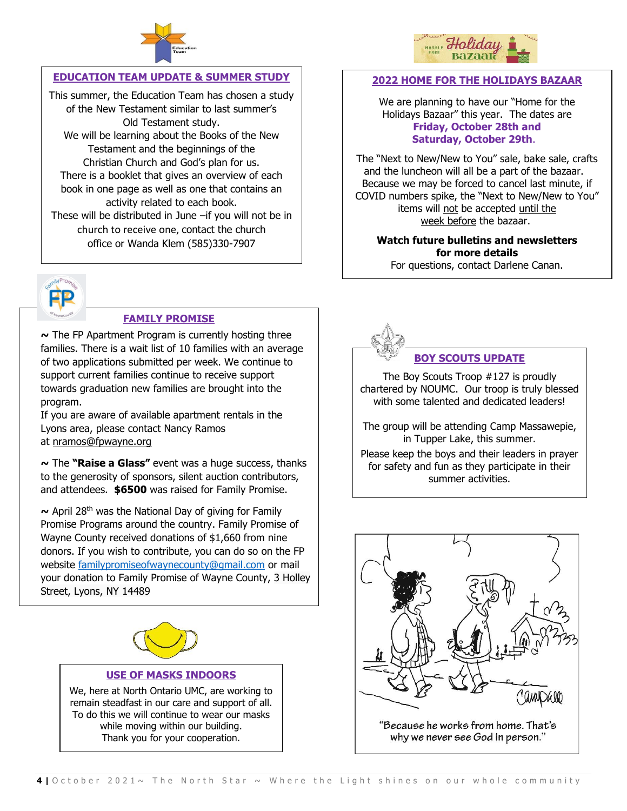

#### **EDUCATION TEAM UPDATE & SUMMER STUDY**

This summer, the Education Team has chosen a study of the New Testament similar to last summer's Old Testament study. We will be learning about the Books of the New Testament and the beginnings of the Christian Church and God's plan for us. There is a booklet that gives an overview of each book in one page as well as one that contains an activity related to each book. These will be distributed in June –if you will not be in church to receive one, contact the church office or Wanda Klem (585)330-7907



#### **FAMILY PROMISE**

**~** The FP Apartment Program is currently hosting three families. There is a wait list of 10 families with an average of two applications submitted per week. We continue to support current families continue to receive support towards graduation new families are brought into the program.

If you are aware of available apartment rentals in the Lyons area, please contact Nancy Ramos at [nramos@fpwayne.org](mailto:nramos@fpwayne.org)

**~** The **"Raise a Glass"** event was a huge success, thanks to the generosity of sponsors, silent auction contributors, and attendees. **\$6500** was raised for Family Promise.

**~** April 28th was the National Day of giving for Family Promise Programs around the country. Family Promise of Wayne County received donations of \$1,660 from nine donors. If you wish to contribute, you can do so on the FP website [familypromiseofwaynecounty@gmail.com](mailto:familypromiseofwaynecounty@gmail.com) or mail your donation to Family Promise of Wayne County, 3 Holley Street, Lyons, NY 14489



#### **USE OF MASKS INDOORS**

We, here at North Ontario UMC, are working to remain steadfast in our care and support of all. To do this we will continue to wear our masks while moving within our building. Thank you for your cooperation.



#### **2022 HOME FOR THE HOLIDAYS BAZAAR**

We are planning to have our "Home for the Holidays Bazaar" this year. The dates are **Friday, October 28th and Saturday, October 29th**.

The "Next to New/New to You" sale, bake sale, crafts and the luncheon will all be a part of the bazaar. Because we may be forced to cancel last minute, if COVID numbers spike, the "Next to New/New to You" items will not be accepted until the week before the bazaar.

#### **Watch future bulletins and newsletters for more details**

For questions, contact Darlene Canan.



#### **BOY SCOUTS UPDATE**

The Boy Scouts Troop #127 is proudly chartered by NOUMC. Our troop is truly blessed with some talented and dedicated leaders!

The group will be attending Camp Massawepie, in Tupper Lake, this summer.

Please keep the boys and their leaders in prayer for safety and fun as they participate in their summer activities.